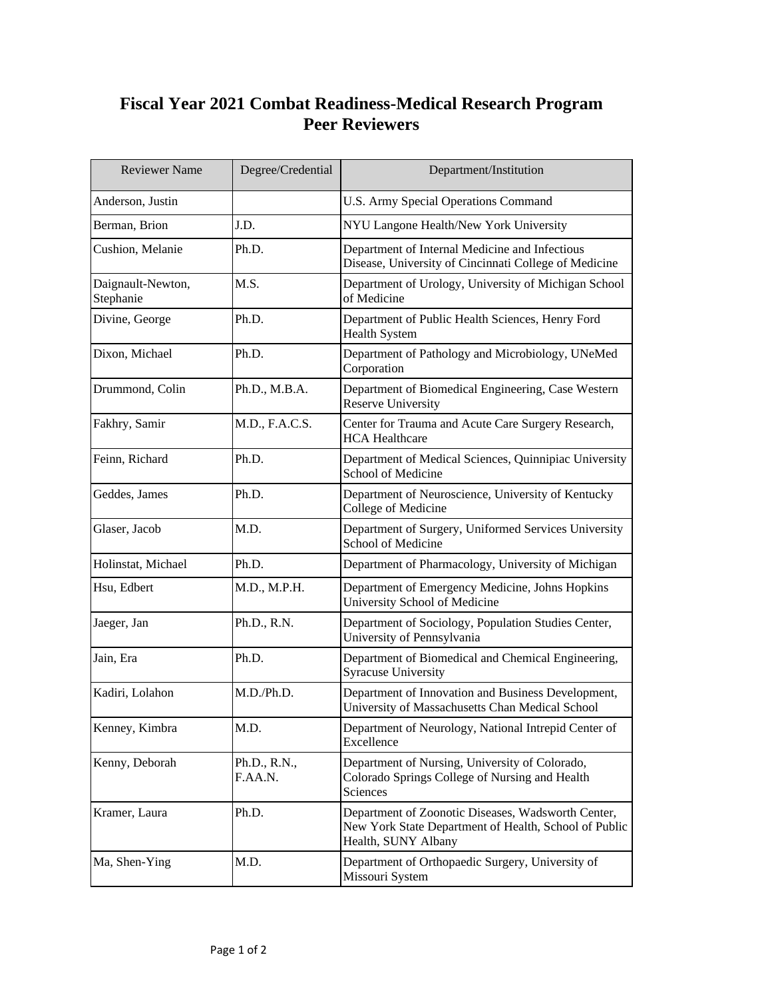## **Fiscal Year 2021 Combat Readiness-Medical Research Program Peer Reviewers**

| <b>Reviewer Name</b>           | Degree/Credential       | Department/Institution                                                                                                             |
|--------------------------------|-------------------------|------------------------------------------------------------------------------------------------------------------------------------|
| Anderson, Justin               |                         | U.S. Army Special Operations Command                                                                                               |
| Berman, Brion                  | J.D.                    | NYU Langone Health/New York University                                                                                             |
| Cushion, Melanie               | Ph.D.                   | Department of Internal Medicine and Infectious<br>Disease, University of Cincinnati College of Medicine                            |
| Daignault-Newton,<br>Stephanie | M.S.                    | Department of Urology, University of Michigan School<br>of Medicine                                                                |
| Divine, George                 | Ph.D.                   | Department of Public Health Sciences, Henry Ford<br><b>Health System</b>                                                           |
| Dixon, Michael                 | Ph.D.                   | Department of Pathology and Microbiology, UNeMed<br>Corporation                                                                    |
| Drummond, Colin                | Ph.D., M.B.A.           | Department of Biomedical Engineering, Case Western<br><b>Reserve University</b>                                                    |
| Fakhry, Samir                  | M.D., F.A.C.S.          | Center for Trauma and Acute Care Surgery Research,<br><b>HCA Healthcare</b>                                                        |
| Feinn, Richard                 | Ph.D.                   | Department of Medical Sciences, Quinnipiac University<br>School of Medicine                                                        |
| Geddes, James                  | Ph.D.                   | Department of Neuroscience, University of Kentucky<br>College of Medicine                                                          |
| Glaser, Jacob                  | M.D.                    | Department of Surgery, Uniformed Services University<br>School of Medicine                                                         |
| Holinstat, Michael             | Ph.D.                   | Department of Pharmacology, University of Michigan                                                                                 |
| Hsu, Edbert                    | M.D., M.P.H.            | Department of Emergency Medicine, Johns Hopkins<br>University School of Medicine                                                   |
| Jaeger, Jan                    | Ph.D., R.N.             | Department of Sociology, Population Studies Center,<br>University of Pennsylvania                                                  |
| Jain, Era                      | Ph.D.                   | Department of Biomedical and Chemical Engineering,<br><b>Syracuse University</b>                                                   |
| Kadiri, Lolahon                | M.D./Ph.D.              | Department of Innovation and Business Development,<br>University of Massachusetts Chan Medical School                              |
| Kenney, Kimbra                 | M.D.                    | Department of Neurology, National Intrepid Center of<br>Excellence                                                                 |
| Kenny, Deborah                 | Ph.D., R.N.,<br>F.AA.N. | Department of Nursing, University of Colorado,<br>Colorado Springs College of Nursing and Health<br>Sciences                       |
| Kramer, Laura                  | Ph.D.                   | Department of Zoonotic Diseases, Wadsworth Center,<br>New York State Department of Health, School of Public<br>Health, SUNY Albany |
| Ma, Shen-Ying                  | M.D.                    | Department of Orthopaedic Surgery, University of<br>Missouri System                                                                |